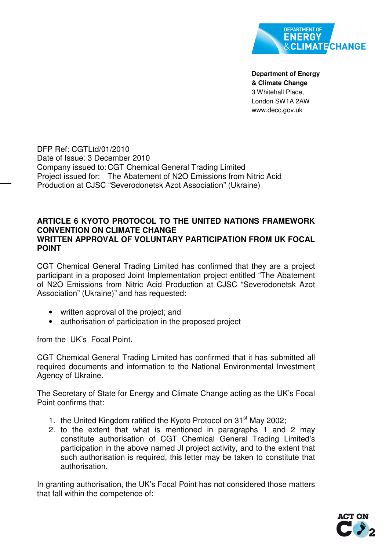

**Department of Energy & Climate Change**  3 Whitehall Place, London SW1A 2AW www.decc.gov.uk

DFP Ref: CGTLtd/01/2010 Date of Issue: 3 December 2010 Company issued to: CGT Chemical General Trading Limited Project issued for: The Abatement of N2O Emissions from Nitric Acid Production at CJSC "Severodonetsk Azot Association" (Ukraine)

## **ARTICLE 6 KYOTO PROTOCOL TO THE UNITED NATIONS FRAMEWORK CONVENTION ON CLIMATE CHANGE WRITTEN APPROVAL OF VOLUNTARY PARTICIPATION FROM UK FOCAL POINT**

CGT Chemical General Trading Limited has confirmed that they are a project participant in a proposed Joint Implementation project entitled "The Abatement of N2O Emissions from Nitric Acid Production at CJSC "Severodonetsk Azot Association" (Ukraine)" and has requested:

- written approval of the project; and
- authorisation of participation in the proposed project

from the UK's Focal Point.

CGT Chemical General Trading Limited has confirmed that it has submitted all required documents and information to the National Environmental Investment Agency of Ukraine.

The Secretary of State for Energy and Climate Change acting as the UK's Focal Point confirms that:

- 1. the United Kingdom ratified the Kyoto Protocol on  $31<sup>st</sup>$  May 2002;
- 2. to the extent that what is mentioned in paragraphs 1 and 2 may constitute authorisation of CGT Chemical General Trading Limited's participation in the above named JI project activity, and to the extent that such authorisation is required, this letter may be taken to constitute that authorisation.

In granting authorisation, the UK's Focal Point has not considered those matters that fall within the competence of: